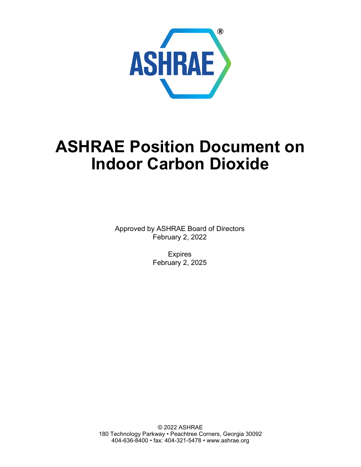

# **ASHRAE Position Document on Indoor Carbon Dioxide**

Approved by ASHRAE Board of Directors February 2, 2022

> Expires February 2, 2025

© 2022 ASHRAE 180 Technology Parkway • Peachtree Corners, Georgia 30092 404-636-8400 • fax: 404-321-5478 • www.ashrae.org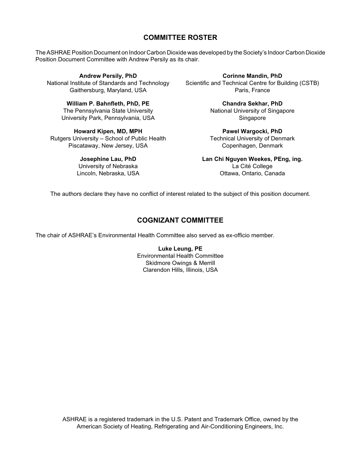#### **COMMITTEE ROSTER**

The ASHRAE Position Document on Indoor Carbon Dioxide was developed by the Society's Indoor Carbon Dioxide Position Document Committee with Andrew Persily as its chair.

**Andrew Persily, PhD** National Institute of Standards and Technology Gaithersburg, Maryland, USA

> **William P. Bahnfleth, PhD, PE** The Pennsylvania State University University Park, Pennsylvania, USA

**Howard Kipen, MD, MPH** Rutgers University – School of Public Health Piscataway, New Jersey, USA

> **Josephine Lau, PhD** University of Nebraska Lincoln, Nebraska, USA

**Corinne Mandin, PhD** Scientific and Technical Centre for Building (CSTB) Paris, France

> **Chandra Sekhar, PhD** National University of Singapore Singapore

> **Pawel Wargocki, PhD** Technical University of Denmark Copenhagen, Denmark

**Lan Chi Nguyen Weekes, PEng, ing.** La Cité College Ottawa, Ontario, Canada

The authors declare they have no conflict of interest related to the subject of this position document.

# **COGNIZANT COMMITTEE**

The chair of ASHRAE's Environmental Health Committee also served as ex-officio member.

**Luke Leung, PE** Environmental Health Committee Skidmore Owings & Merrill Clarendon Hills, Illinois, USA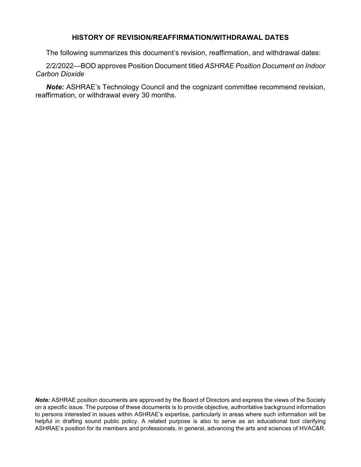#### **HISTORY OF REVISION/REAFFIRMATION/WITHDRAWAL DATES**

The following summarizes this document's revision, reaffirmation, and withdrawal dates:

2/2/2022—BOD approves Position Document titled *ASHRAE Position Document on Indoor Carbon Dioxide*

*Note:* ASHRAE's Technology Council and the cognizant committee recommend revision, reaffirmation, or withdrawal every 30 months.

*Note:* ASHRAE position documents are approved by the Board of Directors and express the views of the Society on a specific issue. The purpose of these documents is to provide objective, authoritative background information to persons interested in issues within ASHRAE's expertise, particularly in areas where such information will be helpful in drafting sound public policy. A related purpose is also to serve as an educational tool clarifying ASHRAE's position for its members and professionals, in general, advancing the arts and sciences of HVAC&R.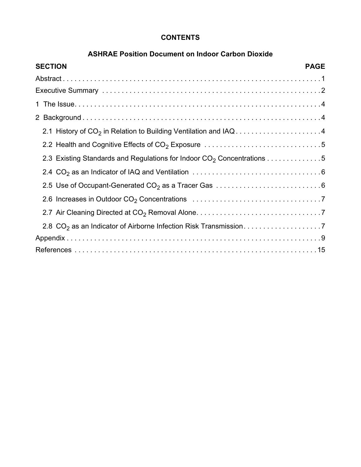# **CONTENTS**

# **ASHRAE Position Document on Indoor Carbon Dioxide**

| <b>SECTION</b><br><b>PAGE</b>                                                      |  |
|------------------------------------------------------------------------------------|--|
|                                                                                    |  |
|                                                                                    |  |
|                                                                                    |  |
|                                                                                    |  |
| 2.1 History of CO <sub>2</sub> in Relation to Building Ventilation and IAQ4        |  |
|                                                                                    |  |
| 2.3 Existing Standards and Regulations for Indoor CO <sub>2</sub> Concentrations 5 |  |
|                                                                                    |  |
|                                                                                    |  |
|                                                                                    |  |
|                                                                                    |  |
|                                                                                    |  |
|                                                                                    |  |
|                                                                                    |  |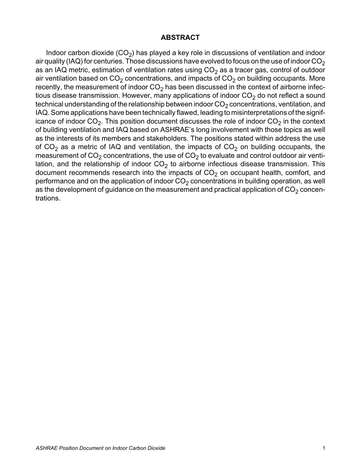#### **ABSTRACT**

Indoor carbon dioxide  $(CO<sub>2</sub>)$  has played a key role in discussions of ventilation and indoor air quality (IAQ) for centuries. Those discussions have evolved to focus on the use of indoor  $CO<sub>2</sub>$ as an IAQ metric, estimation of ventilation rates using  $CO<sub>2</sub>$  as a tracer gas, control of outdoor air ventilation based on  $CO<sub>2</sub>$  concentrations, and impacts of  $CO<sub>2</sub>$  on building occupants. More recently, the measurement of indoor  $CO<sub>2</sub>$  has been discussed in the context of airborne infectious disease transmission. However, many applications of indoor  $CO<sub>2</sub>$  do not reflect a sound technical understanding of the relationship between indoor  $CO<sub>2</sub>$  concentrations, ventilation, and IAQ. Some applications have been technically flawed, leading to misinterpretations of the significance of indoor  $CO<sub>2</sub>$ . This position document discusses the role of indoor  $CO<sub>2</sub>$  in the context of building ventilation and IAQ based on ASHRAE's long involvement with those topics as well as the interests of its members and stakeholders. The positions stated within address the use of  $CO<sub>2</sub>$  as a metric of IAQ and ventilation, the impacts of  $CO<sub>2</sub>$  on building occupants, the measurement of  $CO<sub>2</sub>$  concentrations, the use of  $CO<sub>2</sub>$  to evaluate and control outdoor air ventilation, and the relationship of indoor  $CO<sub>2</sub>$  to airborne infectious disease transmission. This document recommends research into the impacts of  $CO<sub>2</sub>$  on occupant health, comfort, and performance and on the application of indoor  $CO<sub>2</sub>$  concentrations in building operation, as well as the development of guidance on the measurement and practical application of  $CO<sub>2</sub>$  concentrations.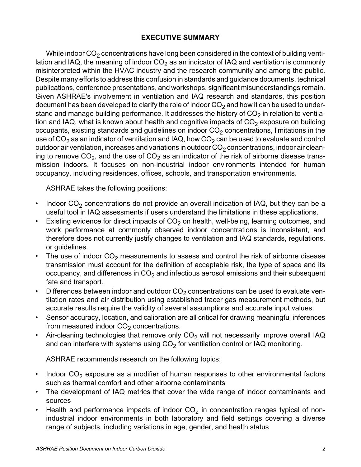## **EXECUTIVE SUMMARY**

While indoor  $CO<sub>2</sub>$  concentrations have long been considered in the context of building ventilation and IAQ, the meaning of indoor  $CO<sub>2</sub>$  as an indicator of IAQ and ventilation is commonly misinterpreted within the HVAC industry and the research community and among the public. Despite many efforts to address this confusion in standards and guidance documents, technical publications, conference presentations, and workshops, significant misunderstandings remain. Given ASHRAE's involvement in ventilation and IAQ research and standards, this position document has been developed to clarify the role of indoor  $CO<sub>2</sub>$  and how it can be used to understand and manage building performance. It addresses the history of  $CO<sub>2</sub>$  in relation to ventilation and IAQ, what is known about health and cognitive impacts of  $CO<sub>2</sub>$  exposure on building occupants, existing standards and guidelines on indoor  $CO<sub>2</sub>$  concentrations, limitations in the use of  $CO<sub>2</sub>$  as an indicator of ventilation and IAQ, how  $CO<sub>2</sub>$  can be used to evaluate and control outdoor air ventilation, increases and variations in outdoor  $CO<sub>2</sub>$  concentrations, indoor air cleaning to remove  $CO<sub>2</sub>$ , and the use of  $CO<sub>2</sub>$  as an indicator of the risk of airborne disease transmission indoors. It focuses on non-industrial indoor environments intended for human occupancy, including residences, offices, schools, and transportation environments.

ASHRAE takes the following positions:

- Indoor  $CO<sub>2</sub>$  concentrations do not provide an overall indication of IAQ, but they can be a useful tool in IAQ assessments if users understand the limitations in these applications.
- Existing evidence for direct impacts of  $CO<sub>2</sub>$  on health, well-being, learning outcomes, and work performance at commonly observed indoor concentrations is inconsistent, and therefore does not currently justify changes to ventilation and IAQ standards, regulations, or guidelines.
- The use of indoor  $CO<sub>2</sub>$  measurements to assess and control the risk of airborne disease transmission must account for the definition of acceptable risk, the type of space and its occupancy, and differences in  $CO<sub>2</sub>$  and infectious aerosol emissions and their subsequent fate and transport.
- Differences between indoor and outdoor  $CO<sub>2</sub>$  concentrations can be used to evaluate ventilation rates and air distribution using established tracer gas measurement methods, but accurate results require the validity of several assumptions and accurate input values.
- Sensor accuracy, location, and calibration are all critical for drawing meaningful inferences from measured indoor  $CO<sub>2</sub>$  concentrations.
- Air-cleaning technologies that remove only  $CO<sub>2</sub>$  will not necessarily improve overall IAQ and can interfere with systems using  $CO<sub>2</sub>$  for ventilation control or IAQ monitoring.

ASHRAE recommends research on the following topics:

- Indoor  $CO<sub>2</sub>$  exposure as a modifier of human responses to other environmental factors such as thermal comfort and other airborne contaminants
- The development of IAQ metrics that cover the wide range of indoor contaminants and sources
- Health and performance impacts of indoor  $CO<sub>2</sub>$  in concentration ranges typical of nonindustrial indoor environments in both laboratory and field settings covering a diverse range of subjects, including variations in age, gender, and health status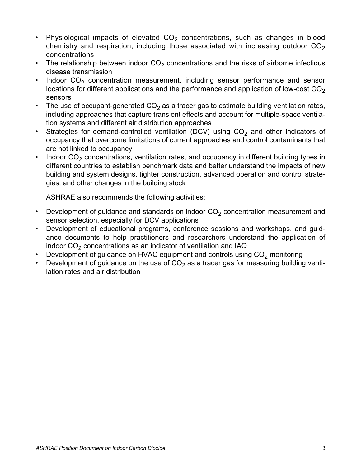- Physiological impacts of elevated  $CO<sub>2</sub>$  concentrations, such as changes in blood chemistry and respiration, including those associated with increasing outdoor  $CO<sub>2</sub>$ concentrations
- The relationship between indoor  $CO<sub>2</sub>$  concentrations and the risks of airborne infectious disease transmission
- Indoor  $CO<sub>2</sub>$  concentration measurement, including sensor performance and sensor locations for different applications and the performance and application of low-cost  $CO<sub>2</sub>$ sensors
- The use of occupant-generated  $CO<sub>2</sub>$  as a tracer gas to estimate building ventilation rates, including approaches that capture transient effects and account for multiple-space ventilation systems and different air distribution approaches
- Strategies for demand-controlled ventilation (DCV) using  $CO<sub>2</sub>$  and other indicators of occupancy that overcome limitations of current approaches and control contaminants that are not linked to occupancy
- Indoor  $CO<sub>2</sub>$  concentrations, ventilation rates, and occupancy in different building types in different countries to establish benchmark data and better understand the impacts of new building and system designs, tighter construction, advanced operation and control strategies, and other changes in the building stock

ASHRAE also recommends the following activities:

- Development of guidance and standards on indoor  $CO<sub>2</sub>$  concentration measurement and sensor selection, especially for DCV applications
- Development of educational programs, conference sessions and workshops, and guidance documents to help practitioners and researchers understand the application of indoor  $CO<sub>2</sub>$  concentrations as an indicator of ventilation and IAQ
- Development of guidance on HVAC equipment and controls using  $CO<sub>2</sub>$  monitoring
- Development of guidance on the use of  $CO<sub>2</sub>$  as a tracer gas for measuring building ventilation rates and air distribution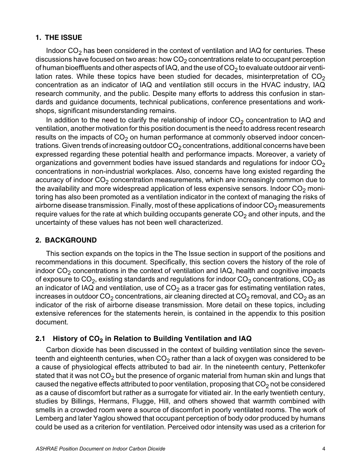## **1. THE ISSUE**

Indoor  $CO<sub>2</sub>$  has been considered in the context of ventilation and IAQ for centuries. These discussions have focused on two areas: how  $CO<sub>2</sub>$  concentrations relate to occupant perception of human bioeffluents and other aspects of IAQ, and the use of  $CO<sub>2</sub>$  to evaluate outdoor air ventilation rates. While these topics have been studied for decades, misinterpretation of  $CO<sub>2</sub>$ concentration as an indicator of IAQ and ventilation still occurs in the HVAC industry, IAQ research community, and the public. Despite many efforts to address this confusion in standards and guidance documents, technical publications, conference presentations and workshops, significant misunderstanding remains.

In addition to the need to clarify the relationship of indoor  $CO<sub>2</sub>$  concentration to IAQ and ventilation, another motivation for this position document is the need to address recent research results on the impacts of  $CO<sub>2</sub>$  on human performance at commonly observed indoor concentrations. Given trends of increasing outdoor  $CO<sub>2</sub>$  concentrations, additional concerns have been expressed regarding these potential health and performance impacts. Moreover, a variety of organizations and government bodies have issued standards and regulations for indoor  $CO<sub>2</sub>$ concentrations in non-industrial workplaces. Also, concerns have long existed regarding the accuracy of indoor  $CO<sub>2</sub>$  concentration measurements, which are increasingly common due to the availability and more widespread application of less expensive sensors. Indoor  $CO<sub>2</sub>$  monitoring has also been promoted as a ventilation indicator in the context of managing the risks of airborne disease transmission. Finally, most of these applications of indoor  $CO<sub>2</sub>$  measurements require values for the rate at which building occupants generate  $CO<sub>2</sub>$  and other inputs, and the uncertainty of these values has not been well characterized.

#### **2. BACKGROUND**

This section expands on the topics in the The Issue section in support of the positions and recommendations in this document. Specifically, this section covers the history of the role of indoor  $CO<sub>2</sub>$  concentrations in the context of ventilation and IAQ, health and cognitive impacts of exposure to  $CO_2$ , existing standards and regulations for indoor  $CO_2$  concentrations,  $CO_2$  as an indicator of IAQ and ventilation, use of  $CO<sub>2</sub>$  as a tracer gas for estimating ventilation rates, increases in outdoor  $CO_2$  concentrations, air cleaning directed at  $CO_2$  removal, and  $CO_2$  as an indicator of the risk of airborne disease transmission. More detail on these topics, including extensive references for the statements herein, is contained in the appendix to this position document.

#### **2.1 History of CO<sub>2</sub> in Relation to Building Ventilation and IAQ**

Carbon dioxide has been discussed in the context of building ventilation since the seventeenth and eighteenth centuries, when  $CO<sub>2</sub>$  rather than a lack of oxygen was considered to be a cause of physiological effects attributed to bad air. In the nineteenth century, Pettenkofer stated that it was not  $CO<sub>2</sub>$  but the presence of organic material from human skin and lungs that caused the negative effects attributed to poor ventilation, proposing that  $CO<sub>2</sub>$  not be considered as a cause of discomfort but rather as a surrogate for vitiated air. In the early twentieth century, studies by Billings, Hermans, Flugge, Hill, and others showed that warmth combined with smells in a crowded room were a source of discomfort in poorly ventilated rooms. The work of Lemberg and later Yaglou showed that occupant perception of body odor produced by humans could be used as a criterion for ventilation. Perceived odor intensity was used as a criterion for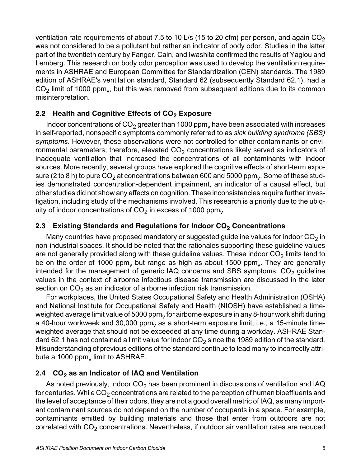ventilation rate requirements of about 7.5 to 10 L/s (15 to 20 cfm) per person, and again  $CO<sub>2</sub>$ was not considered to be a pollutant but rather an indicator of body odor. Studies in the latter part of the twentieth century by Fanger, Cain, and Iwashita confirmed the results of Yaglou and Lemberg. This research on body odor perception was used to develop the ventilation requirements in ASHRAE and European Committee for Standardization (CEN) standards. The 1989 edition of ASHRAE's ventilation standard, Standard 62 (subsequently Standard 62.1), had a  $CO<sub>2</sub>$  limit of 1000 ppm<sub>v</sub>, but this was removed from subsequent editions due to its common misinterpretation.

# 2.2 Health and Cognitive Effects of CO<sub>2</sub> Exposure

Indoor concentrations of  $CO<sub>2</sub>$  greater than 1000 ppm<sub>v</sub> have been associated with increases in self-reported, nonspecific symptoms commonly referred to as *sick building syndrome (SBS) symptoms*. However, these observations were not controlled for other contaminants or environmental parameters; therefore, elevated  $CO<sub>2</sub>$  concentrations likely served as indicators of inadequate ventilation that increased the concentrations of all contaminants with indoor sources. More recently, several groups have explored the cognitive effects of short-term exposure (2 to 8 h) to pure  $CO<sub>2</sub>$  at concentrations between 600 and 5000 ppm<sub>y</sub>. Some of these studies demonstrated concentration-dependent impairment, an indicator of a causal effect, but other studies did not show any effects on cognition. These inconsistencies require further investigation, including study of the mechanisms involved. This research is a priority due to the ubiquity of indoor concentrations of  $CO<sub>2</sub>$  in excess of 1000 ppm<sub>y</sub>.

# **2.3 Existing Standards and Regulations for Indoor CO<sub>2</sub> Concentrations**

Many countries have proposed mandatory or suggested guideline values for indoor  $CO<sub>2</sub>$  in non-industrial spaces. It should be noted that the rationales supporting these guideline values are not generally provided along with these guideline values. These indoor  $CO<sub>2</sub>$  limits tend to be on the order of 1000 ppm, but range as high as about 1500 ppm, They are generally intended for the management of generic IAQ concerns and SBS symptoms.  $CO<sub>2</sub>$  guideline values in the context of airborne infectious disease transmission are discussed in the later section on  $CO<sub>2</sub>$  as an indicator of airborne infection risk transmission.

For workplaces, the United States Occupational Safety and Health Administration (OSHA) and National Institute for Occupational Safety and Health (NIOSH) have established a timeweighted average limit value of 5000 ppm, for airborne exposure in any 8-hour work shift during a 40-hour workweek and 30,000 ppm, as a short-term exposure limit, i.e., a 15-minute timeweighted average that should not be exceeded at any time during a workday. ASHRAE Standard 62.1 has not contained a limit value for indoor  $CO<sub>2</sub>$  since the 1989 edition of the standard. Misunderstanding of previous editions of the standard continue to lead many to incorrectly attribute a 1000 ppm $_{\rm v}$  limit to ASHRAE.

# 2.4 CO<sub>2</sub> as an Indicator of IAQ and Ventilation

As noted previously, indoor  $CO<sub>2</sub>$  has been prominent in discussions of ventilation and IAQ for centuries. While  $CO<sub>2</sub>$  concentrations are related to the perception of human bioeffluents and the level of acceptance of their odors, they are not a good overall metric of IAQ, as many important contaminant sources do not depend on the number of occupants in a space. For example, contaminants emitted by building materials and those that enter from outdoors are not correlated with  $CO<sub>2</sub>$  concentrations. Nevertheless, if outdoor air ventilation rates are reduced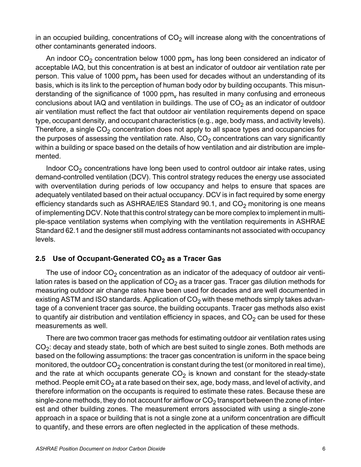in an occupied building, concentrations of  $CO<sub>2</sub>$  will increase along with the concentrations of other contaminants generated indoors.

An indoor  $CO<sub>2</sub>$  concentration below 1000 ppm<sub>v</sub> has long been considered an indicator of acceptable IAQ, but this concentration is at best an indicator of outdoor air ventilation rate per person. This value of 1000 ppm, has been used for decades without an understanding of its basis, which is its link to the perception of human body odor by building occupants. This misunderstanding of the significance of 1000  $ppm<sub>v</sub>$  has resulted in many confusing and erroneous conclusions about IAQ and ventilation in buildings. The use of  $CO<sub>2</sub>$  as an indicator of outdoor air ventilation must reflect the fact that outdoor air ventilation requirements depend on space type, occupant density, and occupant characteristics (e.g., age, body mass, and activity levels). Therefore, a single  $CO<sub>2</sub>$  concentration does not apply to all space types and occupancies for the purposes of assessing the ventilation rate. Also,  $CO<sub>2</sub>$  concentrations can vary significantly within a building or space based on the details of how ventilation and air distribution are implemented.

Indoor  $CO<sub>2</sub>$  concentrations have long been used to control outdoor air intake rates, using demand-controlled ventilation (DCV). This control strategy reduces the energy use associated with overventilation during periods of low occupancy and helps to ensure that spaces are adequately ventilated based on their actual occupancy. DCV is in fact required by some energy efficiency standards such as ASHRAE/IES Standard 90.1, and  $CO<sub>2</sub>$  monitoring is one means of implementing DCV. Note that this control strategy can be more complex to implement in multiple-space ventilation systems when complying with the ventilation requirements in ASHRAE Standard 62.1 and the designer still must address contaminants not associated with occupancy levels.

## 2.5 Use of Occupant-Generated CO<sub>2</sub> as a Tracer Gas

The use of indoor  $CO<sub>2</sub>$  concentration as an indicator of the adequacy of outdoor air ventilation rates is based on the application of  $CO<sub>2</sub>$  as a tracer gas. Tracer gas dilution methods for measuring outdoor air change rates have been used for decades and are well documented in existing ASTM and ISO standards. Application of  $CO<sub>2</sub>$  with these methods simply takes advantage of a convenient tracer gas source, the building occupants. Tracer gas methods also exist to quantify air distribution and ventilation efficiency in spaces, and  $CO<sub>2</sub>$  can be used for these measurements as well.

There are two common tracer gas methods for estimating outdoor air ventilation rates using  $CO<sub>2</sub>$ : decay and steady state, both of which are best suited to single zones. Both methods are based on the following assumptions: the tracer gas concentration is uniform in the space being monitored, the outdoor  $CO<sub>2</sub>$  concentration is constant during the test (or monitored in real time), and the rate at which occupants generate  $CO<sub>2</sub>$  is known and constant for the steady-state method. People emit  $CO<sub>2</sub>$  at a rate based on their sex, age, body mass, and level of activity, and therefore information on the occupants is required to estimate these rates. Because these are single-zone methods, they do not account for airflow or  $CO<sub>2</sub>$  transport between the zone of interest and other building zones. The measurement errors associated with using a single-zone approach in a space or building that is not a single zone at a uniform concentration are difficult to quantify, and these errors are often neglected in the application of these methods.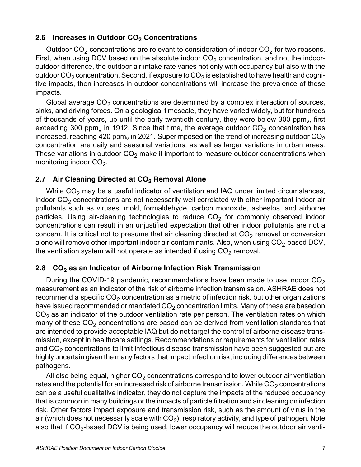#### **2.6 Increases in Outdoor CO<sub>2</sub> Concentrations**

Outdoor  $CO<sub>2</sub>$  concentrations are relevant to consideration of indoor  $CO<sub>2</sub>$  for two reasons. First, when using DCV based on the absolute indoor  $CO<sub>2</sub>$  concentration, and not the indooroutdoor difference, the outdoor air intake rate varies not only with occupancy but also with the outdoor  $CO_2$  concentration. Second, if exposure to  $CO_2$  is established to have health and cognitive impacts, then increases in outdoor concentrations will increase the prevalence of these impacts.

Global average  $CO<sub>2</sub>$  concentrations are determined by a complex interaction of sources, sinks, and driving forces. On a geological timescale, they have varied widely, but for hundreds of thousands of years, up until the early twentieth century, they were below 300 ppm $<sub>v</sub>$ , first</sub> exceeding 300 ppm<sub>v</sub> in 1912. Since that time, the average outdoor  $CO_2$  concentration has increased, reaching 420 ppm<sub>v</sub> in 2021. Superimposed on the trend of increasing outdoor  $CO<sub>2</sub>$ concentration are daily and seasonal variations, as well as larger variations in urban areas. These variations in outdoor  $CO<sub>2</sub>$  make it important to measure outdoor concentrations when monitoring indoor  $CO<sub>2</sub>$ .

#### 2.7 Air Cleaning Directed at CO<sub>2</sub> Removal Alone

While  $CO<sub>2</sub>$  may be a useful indicator of ventilation and IAQ under limited circumstances, indoor  $CO<sub>2</sub>$  concentrations are not necessarily well correlated with other important indoor air pollutants such as viruses, mold, formaldehyde, carbon monoxide, asbestos, and airborne particles. Using air-cleaning technologies to reduce  $CO<sub>2</sub>$  for commonly observed indoor concentrations can result in an unjustified expectation that other indoor pollutants are not a concern. It is critical not to presume that air cleaning directed at  $CO<sub>2</sub>$  removal or conversion alone will remove other important indoor air contaminants. Also, when using  $CO<sub>2</sub>$ -based DCV, the ventilation system will not operate as intended if using  $CO<sub>2</sub>$  removal.

# 2.8 CO<sub>2</sub> as an Indicator of Airborne Infection Risk Transmission

During the COVID-19 pandemic, recommendations have been made to use indoor  $CO<sub>2</sub>$ measurement as an indicator of the risk of airborne infection transmission. ASHRAE does not recommend a specific  $CO<sub>2</sub>$  concentration as a metric of infection risk, but other organizations have issued recommended or mandated  $CO<sub>2</sub>$  concentration limits. Many of these are based on  $CO<sub>2</sub>$  as an indicator of the outdoor ventilation rate per person. The ventilation rates on which many of these  $CO<sub>2</sub>$  concentrations are based can be derived from ventilation standards that are intended to provide acceptable IAQ but do not target the control of airborne disease transmission, except in healthcare settings. Recommendations or requirements for ventilation rates and  $CO<sub>2</sub>$  concentrations to limit infectious disease transmission have been suggested but are highly uncertain given the many factors that impact infection risk, including differences between pathogens.

All else being equal, higher  $CO<sub>2</sub>$  concentrations correspond to lower outdoor air ventilation rates and the potential for an increased risk of airborne transmission. While  $CO<sub>2</sub>$  concentrations can be a useful qualitative indicator, they do not capture the impacts of the reduced occupancy that is common in many buildings or the impacts of particle filtration and air cleaning on infection risk. Other factors impact exposure and transmission risk, such as the amount of virus in the air (which does not necessarily scale with  $CO<sub>2</sub>$ ), respiratory activity, and type of pathogen. Note also that if  $CO_2$ -based DCV is being used, lower occupancy will reduce the outdoor air venti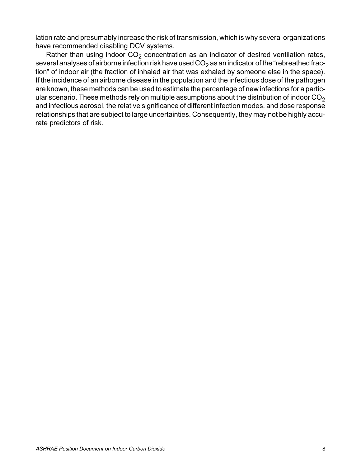lation rate and presumably increase the risk of transmission, which is why several organizations have recommended disabling DCV systems.

Rather than using indoor  $CO<sub>2</sub>$  concentration as an indicator of desired ventilation rates, several analyses of airborne infection risk have used  $CO<sub>2</sub>$  as an indicator of the "rebreathed fraction" of indoor air (the fraction of inhaled air that was exhaled by someone else in the space). If the incidence of an airborne disease in the population and the infectious dose of the pathogen are known, these methods can be used to estimate the percentage of new infections for a particular scenario. These methods rely on multiple assumptions about the distribution of indoor  $CO<sub>2</sub>$ and infectious aerosol, the relative significance of different infection modes, and dose response relationships that are subject to large uncertainties. Consequently, they may not be highly accurate predictors of risk.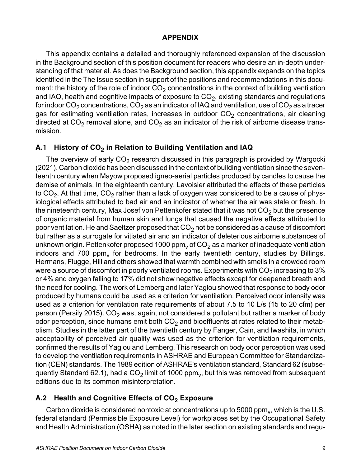#### **APPENDIX**

This appendix contains a detailed and thoroughly referenced expansion of the discussion in the Background section of this position document for readers who desire an in-depth understanding of that material. As does the Background section, this appendix expands on the topics identified in the The Issue section in support of the positions and recommendations in this document: the history of the role of indoor  $CO<sub>2</sub>$  concentrations in the context of building ventilation and IAQ, health and cognitive impacts of exposure to  $CO<sub>2</sub>$ , existing standards and regulations for indoor CO<sub>2</sub> concentrations, CO<sub>2</sub> as an indicator of IAQ and ventilation, use of CO<sub>2</sub> as a tracer gas for estimating ventilation rates, increases in outdoor  $CO<sub>2</sub>$  concentrations, air cleaning directed at  $CO<sub>2</sub>$  removal alone, and  $CO<sub>2</sub>$  as an indicator of the risk of airborne disease transmission.

## A.1 History of CO<sub>2</sub> in Relation to Building Ventilation and IAQ

The overview of early  $CO<sub>2</sub>$  research discussed in this paragraph is provided by Wargocki (2021). Carbon dioxide has been discussed in the context of building ventilation since the seventeenth century when Mayow proposed igneo-aerial particles produced by candles to cause the demise of animals. In the eighteenth century, Lavoisier attributed the effects of these particles to  $CO<sub>2</sub>$ . At that time,  $CO<sub>2</sub>$  rather than a lack of oxygen was considered to be a cause of physiological effects attributed to bad air and an indicator of whether the air was stale or fresh. In the nineteenth century, Max Josef von Pettenkofer stated that it was not  $CO<sub>2</sub>$  but the presence of organic material from human skin and lungs that caused the negative effects attributed to poor ventilation. He and Saeltzer proposed that  $CO<sub>2</sub>$  not be considered as a cause of discomfort but rather as a surrogate for vitiated air and an indicator of deleterious airborne substances of unknown origin. Pettenkofer proposed 1000 ppm<sub>y</sub> of  $CO<sub>2</sub>$  as a marker of inadequate ventilation indoors and 700 ppm, for bedrooms. In the early twentieth century, studies by Billings, Hermans, Flugge, Hill and others showed that warmth combined with smells in a crowded room were a source of discomfort in poorly ventilated rooms. Experiments with  $CO<sub>2</sub>$  increasing to 3% or 4% and oxygen falling to 17% did not show negative effects except for deepened breath and the need for cooling. The work of Lemberg and later Yaglou showed that response to body odor produced by humans could be used as a criterion for ventilation. Perceived odor intensity was used as a criterion for ventilation rate requirements of about 7.5 to 10 L/s (15 to 20 cfm) per person (Persily 2015).  $CO<sub>2</sub>$  was, again, not considered a pollutant but rather a marker of body odor perception, since humans emit both  $CO<sub>2</sub>$  and bioeffluents at rates related to their metabolism. Studies in the latter part of the twentieth century by Fanger, Cain, and Iwashita, in which acceptability of perceived air quality was used as the criterion for ventilation requirements, confirmed the results of Yaglou and Lemberg. This research on body odor perception was used to develop the ventilation requirements in ASHRAE and European Committee for Standardization (CEN) standards. The 1989 edition of ASHRAE's ventilation standard, Standard 62 (subsequently Standard 62.1), had a  $CO<sub>2</sub>$  limit of 1000 ppm<sub>v</sub>, but this was removed from subsequent editions due to its common misinterpretation.

# A.2 Health and Cognitive Effects of CO<sub>2</sub> Exposure

Carbon dioxide is considered nontoxic at concentrations up to 5000 ppm $<sub>v</sub>$ , which is the U.S.</sub> federal standard (Permissible Exposure Level) for workplaces set by the Occupational Safety and Health Administration (OSHA) as noted in the later section on existing standards and regu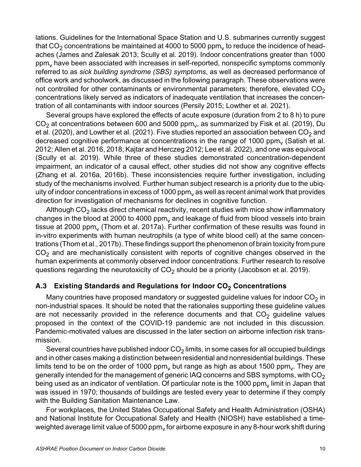lations. Guidelines for the International Space Station and U.S. submarines currently suggest that  $CO<sub>2</sub>$  concentrations be maintained at 4000 to 5000 ppm<sub>y</sub> to reduce the incidence of headaches (James and Zalesak 2013; Scully et al. 2019). Indoor concentrations greater than 1000  $ppm<sub>v</sub>$  have been associated with increases in self-reported, nonspecific symptoms commonly referred to as *sick building syndrome (SBS) symptoms*, as well as decreased performance of office work and schoolwork, as discussed in the following paragraph. These observations were not controlled for other contaminants or environmental parameters; therefore, elevated  $CO<sub>2</sub>$ concentrations likely served as indicators of inadequate ventilation that increases the concentration of all contaminants with indoor sources (Persily 2015; Lowther et al. 2021).

Several groups have explored the effects of acute exposure (duration from 2 to 8 h) to pure  $CO<sub>2</sub>$  at concentrations between 600 and 5000 ppm<sub>v</sub>, as summarized by Fisk et al. (2019), Du et al. (2020), and Lowther et al. (2021). Five studies reported an association between  $CO<sub>2</sub>$  and decreased cognitive performance at concentrations in the range of 1000 ppm $<sub>v</sub>$  (Satish et al.</sub> 2012; Allen et al. 2016, 2018; Kajtar and Herczeg 2012; Lee et al. 2022), and one was equivocal (Scully et al. 2019). While three of these studies demonstrated concentration-dependent impairment, an indicator of a causal effect, other studies did not show any cognitive effects (Zhang et al. 2016a, 2016b). These inconsistencies require further investigation, including study of the mechanisms involved. Further human subject research is a priority due to the ubiquity of indoor concentrations in excess of 1000  $ppm<sub>v</sub>$  as well as recent animal work that provides direction for investigation of mechanisms for declines in cognitive function.

Although  $CO<sub>2</sub>$  lacks direct chemical reactivity, recent studies with mice show inflammatory changes in the blood at 2000 to 4000 ppm $<sub>v</sub>$  and leakage of fluid from blood vessels into brain</sub> tissue at 2000 ppm<sub>y</sub> (Thom et al. 2017a). Further confirmation of these results was found in in-vitro experiments with human neutrophils (a type of white blood cell) at the same concentrations (Thom et al., 2017b). These findings support the phenomenon of brain toxicity from pure  $CO<sub>2</sub>$  and are mechanistically consistent with reports of cognitive changes observed in the human experiments at commonly observed indoor concentrations. Further research to resolve questions regarding the neurotoxicity of  $CO<sub>2</sub>$  should be a priority (Jacobson et al. 2019).

# A.3 Existing Standards and Regulations for Indoor CO<sub>2</sub> Concentrations

Many countries have proposed mandatory or suggested guideline values for indoor  $CO<sub>2</sub>$  in non-industrial spaces. It should be noted that the rationales supporting these guideline values are not necessarily provided in the reference documents and that  $CO<sub>2</sub>$  guideline values proposed in the context of the COVID-19 pandemic are not included in this discussion. Pandemic-motivated values are discussed in the later section on airborne infection risk transmission.

Several countries have published indoor  $CO<sub>2</sub>$  limits, in some cases for all occupied buildings and in other cases making a distinction between residential and nonresidential buildings. These limits tend to be on the order of 1000 ppm, but range as high as about 1500 ppm, They are generally intended for the management of generic IAQ concerns and SBS symptoms, with  $CO<sub>2</sub>$ being used as an indicator of ventilation. Of particular note is the 1000  $ppm<sub>v</sub>$  limit in Japan that was issued in 1970; thousands of buildings are tested every year to determine if they comply with the Building Sanitation Maintenance Law.

For workplaces, the United States Occupational Safety and Health Administration (OSHA) and National Institute for Occupational Safety and Health (NIOSH) have established a timeweighted average limit value of 5000  $ppm<sub>v</sub>$  for airborne exposure in any 8-hour work shift during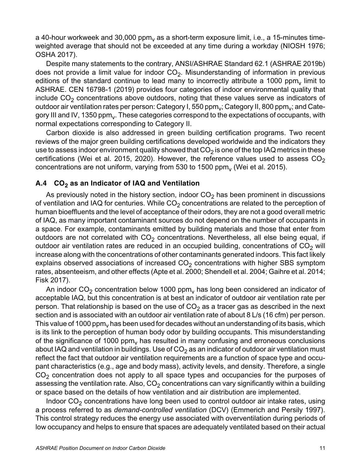a 40-hour workweek and 30,000  $ppm<sub>v</sub>$  as a short-term exposure limit, i.e., a 15-minutes timeweighted average that should not be exceeded at any time during a workday (NIOSH 1976; OSHA 2017).

Despite many statements to the contrary, ANSI/ASHRAE Standard 62.1 (ASHRAE 2019b) does not provide a limit value for indoor  $CO<sub>2</sub>$ . Misunderstanding of information in previous editions of the standard continue to lead many to incorrectly attribute a 1000 ppm, limit to ASHRAE. CEN 16798-1 (2019) provides four categories of indoor environmental quality that include  $CO<sub>2</sub>$  concentrations above outdoors, noting that these values serve as indicators of outdoor air ventilation rates per person: Category I, 550 ppm<sub>v</sub>; Category II, 800 ppm<sub>v</sub>; and Category III and IV, 1350 ppm<sub>y</sub>. These categories correspond to the expectations of occupants, with normal expectations corresponding to Category II.

Carbon dioxide is also addressed in green building certification programs. Two recent reviews of the major green building certifications developed worldwide and the indicators they use to assess indoor environment quality showed that  $CO<sub>2</sub>$  is one of the top IAQ metrics in these certifications (Wei et al. 2015, 2020). However, the reference values used to assess  $CO<sub>2</sub>$ concentrations are not uniform, varying from 530 to 1500 ppm $<sub>v</sub>$  (Wei et al. 2015).</sub>

## A.4 CO<sub>2</sub> as an Indicator of IAQ and Ventilation

As previously noted in the history section, indoor  $CO<sub>2</sub>$  has been prominent in discussions of ventilation and IAQ for centuries. While  $CO<sub>2</sub>$  concentrations are related to the perception of human bioeffluents and the level of acceptance of their odors, they are not a good overall metric of IAQ, as many important contaminant sources do not depend on the number of occupants in a space. For example, contaminants emitted by building materials and those that enter from outdoors are not correlated with  $CO<sub>2</sub>$  concentrations. Nevertheless, all else being equal, if outdoor air ventilation rates are reduced in an occupied building, concentrations of  $CO<sub>2</sub>$  will increase along with the concentrations of other contaminants generated indoors. This fact likely explains observed associations of increased  $CO<sub>2</sub>$  concentrations with higher SBS symptom rates, absenteeism, and other effects (Apte et al. 2000; Shendell et al. 2004; Gaihre et al. 2014; Fisk 2017).

An indoor  $CO<sub>2</sub>$  concentration below 1000 ppm<sub>v</sub> has long been considered an indicator of acceptable IAQ, but this concentration is at best an indicator of outdoor air ventilation rate per person. That relationship is based on the use of  $CO<sub>2</sub>$  as a tracer gas as described in the next section and is associated with an outdoor air ventilation rate of about 8 L/s (16 cfm) per person. This value of 1000 ppm<sub>y</sub> has been used for decades without an understanding of its basis, which is its link to the perception of human body odor by building occupants. This misunderstanding of the significance of 1000 ppm<sub>y</sub> has resulted in many confusing and erroneous conclusions about IAQ and ventilation in buildings. Use of  $CO<sub>2</sub>$  as an indicator of outdoor air ventilation must reflect the fact that outdoor air ventilation requirements are a function of space type and occupant characteristics (e.g., age and body mass), activity levels, and density. Therefore, a single  $CO<sub>2</sub>$  concentration does not apply to all space types and occupancies for the purposes of assessing the ventilation rate. Also,  $CO<sub>2</sub>$  concentrations can vary significantly within a building or space based on the details of how ventilation and air distribution are implemented.

Indoor  $CO<sub>2</sub>$  concentrations have long been used to control outdoor air intake rates, using a process referred to as *demand-controlled ventilation* (DCV) (Emmerich and Persily 1997). This control strategy reduces the energy use associated with overventilation during periods of low occupancy and helps to ensure that spaces are adequately ventilated based on their actual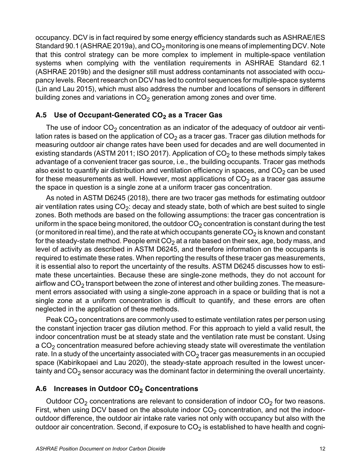occupancy. DCV is in fact required by some energy efficiency standards such as ASHRAE/IES Standard 90.1 (ASHRAE 2019a), and  $CO<sub>2</sub>$  monitoring is one means of implementing DCV. Note that this control strategy can be more complex to implement in multiple-space ventilation systems when complying with the ventilation requirements in ASHRAE Standard 62.1 (ASHRAE 2019b) and the designer still must address contaminants not associated with occupancy levels. Recent research on DCV has led to control sequences for multiple-space systems (Lin and Lau 2015), which must also address the number and locations of sensors in different building zones and variations in  $CO<sub>2</sub>$  generation among zones and over time.

# A.5 Use of Occupant-Generated CO<sub>2</sub> as a Tracer Gas

The use of indoor  $CO<sub>2</sub>$  concentration as an indicator of the adequacy of outdoor air ventilation rates is based on the application of  $CO<sub>2</sub>$  as a tracer gas. Tracer gas dilution methods for measuring outdoor air change rates have been used for decades and are well documented in existing standards (ASTM 2011; ISO 2017). Application of  $CO<sub>2</sub>$  to these methods simply takes advantage of a convenient tracer gas source, i.e., the building occupants. Tracer gas methods also exist to quantify air distribution and ventilation efficiency in spaces, and  $CO<sub>2</sub>$  can be used for these measurements as well. However, most applications of  $CO<sub>2</sub>$  as a tracer gas assume the space in question is a single zone at a uniform tracer gas concentration.

As noted in ASTM D6245 (2018), there are two tracer gas methods for estimating outdoor air ventilation rates using  $CO<sub>2</sub>$ : decay and steady state, both of which are best suited to single zones. Both methods are based on the following assumptions: the tracer gas concentration is uniform in the space being monitored, the outdoor  $CO<sub>2</sub>$  concentration is constant during the test (or monitored in real time), and the rate at which occupants generate  $CO<sub>2</sub>$  is known and constant for the steady-state method. People emit  $CO<sub>2</sub>$  at a rate based on their sex, age, body mass, and level of activity as described in ASTM D6245, and therefore information on the occupants is required to estimate these rates. When reporting the results of these tracer gas measurements, it is essential also to report the uncertainty of the results. ASTM D6245 discusses how to estimate these uncertainties. Because these are single-zone methods, they do not account for airflow and  $CO<sub>2</sub>$  transport between the zone of interest and other building zones. The measurement errors associated with using a single-zone approach in a space or building that is not a single zone at a uniform concentration is difficult to quantify, and these errors are often neglected in the application of these methods.

Peak  $CO<sub>2</sub>$  concentrations are commonly used to estimate ventilation rates per person using the constant injection tracer gas dilution method. For this approach to yield a valid result, the indoor concentration must be at steady state and the ventilation rate must be constant. Using a  $CO<sub>2</sub>$  concentration measured before achieving steady state will overestimate the ventilation rate. In a study of the uncertainty associated with  $CO<sub>2</sub>$  tracer gas measurements in an occupied space (Kabirikopaei and Lau 2020), the steady-state approach resulted in the lowest uncertainty and  $CO<sub>2</sub>$  sensor accuracy was the dominant factor in determining the overall uncertainty.

# A.6 Increases in Outdoor CO<sub>2</sub> Concentrations

Outdoor  $CO<sub>2</sub>$  concentrations are relevant to consideration of indoor  $CO<sub>2</sub>$  for two reasons. First, when using DCV based on the absolute indoor  $CO<sub>2</sub>$  concentration, and not the indooroutdoor difference, the outdoor air intake rate varies not only with occupancy but also with the outdoor air concentration. Second, if exposure to  $CO<sub>2</sub>$  is established to have health and cogni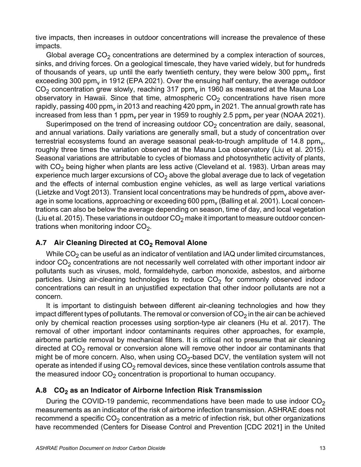tive impacts, then increases in outdoor concentrations will increase the prevalence of these impacts.

Global average  $CO<sub>2</sub>$  concentrations are determined by a complex interaction of sources, sinks, and driving forces. On a geological timescale, they have varied widely, but for hundreds of thousands of years, up until the early twentieth century, they were below 300 ppm $<sub>v</sub>$ , first</sub> exceeding 300 ppm<sub>y</sub> in 1912 (EPA 2021). Over the ensuing half century, the average outdoor  $CO<sub>2</sub>$  concentration grew slowly, reaching 317 ppm<sub>v</sub> in 1960 as measured at the Mauna Loa observatory in Hawaii. Since that time, atmospheric  $CO<sub>2</sub>$  concentrations have risen more rapidly, passing 400 ppm<sub>y</sub> in 2013 and reaching 420 ppm<sub>y</sub> in 2021. The annual growth rate has increased from less than 1 ppm<sub>y</sub> per year in 1959 to roughly 2.5 ppm<sub>y</sub> per year (NOAA 2021).

Superimposed on the trend of increasing outdoor  $CO<sub>2</sub>$  concentration are daily, seasonal, and annual variations. Daily variations are generally small, but a study of concentration over terrestrial ecosystems found an average seasonal peak-to-trough amplitude of 14.8 ppm $_{\rm v}$ , roughly three times the variation observed at the Mauna Loa observatory (Liu et al. 2015). Seasonal variations are attributable to cycles of biomass and photosynthetic activity of plants, with  $CO<sub>2</sub>$  being higher when plants are less active (Cleveland et al. 1983). Urban areas may experience much larger excursions of  $CO<sub>2</sub>$  above the global average due to lack of vegetation and the effects of internal combustion engine vehicles, as well as large vertical variations (Lietzke and Vogt 2013). Transient local concentrations may be hundreds of  $ppm<sub>v</sub>$  above average in some locations, approaching or exceeding 600 ppm $<sub>v</sub>$  (Balling et al. 2001). Local concen-</sub> trations can also be below the average depending on season, time of day, and local vegetation (Liu et al. 2015). These variations in outdoor  $CO<sub>2</sub>$  make it important to measure outdoor concentrations when monitoring indoor  $CO<sub>2</sub>$ .

#### A.7 Air Cleaning Directed at CO<sub>2</sub> Removal Alone

While  $CO<sub>2</sub>$  can be useful as an indicator of ventilation and IAQ under limited circumstances, indoor  $CO<sub>2</sub>$  concentrations are not necessarily well correlated with other important indoor air pollutants such as viruses, mold, formaldehyde, carbon monoxide, asbestos, and airborne particles. Using air-cleaning technologies to reduce  $CO<sub>2</sub>$  for commonly observed indoor concentrations can result in an unjustified expectation that other indoor pollutants are not a concern.

It is important to distinguish between different air-cleaning technologies and how they impact different types of pollutants. The removal or conversion of  $CO<sub>2</sub>$  in the air can be achieved only by chemical reaction processes using sorption-type air cleaners (Hu et al. 2017). The removal of other important indoor contaminants requires other approaches, for example, airborne particle removal by mechanical filters. It is critical not to presume that air cleaning directed at  $CO<sub>2</sub>$  removal or conversion alone will remove other indoor air contaminants that might be of more concern. Also, when using  $CO<sub>2</sub>$ -based DCV, the ventilation system will not operate as intended if using  $CO<sub>2</sub>$  removal devices, since these ventilation controls assume that the measured indoor  $CO<sub>2</sub>$  concentration is proportional to human occupancy.

# A.8 CO<sub>2</sub> as an Indicator of Airborne Infection Risk Transmission

During the COVID-19 pandemic, recommendations have been made to use indoor  $CO<sub>2</sub>$ measurements as an indicator of the risk of airborne infection transmission. ASHRAE does not recommend a specific  $CO<sub>2</sub>$  concentration as a metric of infection risk, but other organizations have recommended (Centers for Disease Control and Prevention [CDC 2021] in the United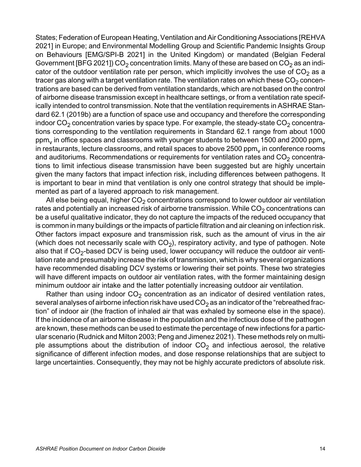States; Federation of European Heating, Ventilation and Air Conditioning Associations [REHVA 2021] in Europe; and Environmental Modelling Group and Scientific Pandemic Insights Group on Behaviours [EMG/SPI-B 2021] in the United Kingdom) or mandated (Belgian Federal Government [BFG 2021]) CO<sub>2</sub> concentration limits. Many of these are based on CO<sub>2</sub> as an indicator of the outdoor ventilation rate per person, which implicitly involves the use of  $CO<sub>2</sub>$  as a tracer gas along with a target ventilation rate. The ventilation rates on which these  $CO<sub>2</sub>$  concentrations are based can be derived from ventilation standards, which are not based on the control of airborne disease transmission except in healthcare settings, or from a ventilation rate specifically intended to control transmission. Note that the ventilation requirements in ASHRAE Standard 62.1 (2019b) are a function of space use and occupancy and therefore the corresponding indoor  $CO<sub>2</sub>$  concentration varies by space type. For example, the steady-state  $CO<sub>2</sub>$  concentrations corresponding to the ventilation requirements in Standard 62.1 range from about 1000 ppm<sub>y</sub> in office spaces and classrooms with younger students to between 1500 and 2000 ppm<sub>y</sub> in restaurants, lecture classrooms, and retail spaces to above 2500 ppm $_{\rm v}$  in conference rooms and auditoriums. Recommendations or requirements for ventilation rates and  $CO<sub>2</sub>$  concentrations to limit infectious disease transmission have been suggested but are highly uncertain given the many factors that impact infection risk, including differences between pathogens. It is important to bear in mind that ventilation is only one control strategy that should be implemented as part of a layered approach to risk management.

All else being equal, higher  $CO<sub>2</sub>$  concentrations correspond to lower outdoor air ventilation rates and potentially an increased risk of airborne transmission. While  $CO<sub>2</sub>$  concentrations can be a useful qualitative indicator, they do not capture the impacts of the reduced occupancy that is common in many buildings or the impacts of particle filtration and air cleaning on infection risk. Other factors impact exposure and transmission risk, such as the amount of virus in the air (which does not necessarily scale with  $CO<sub>2</sub>$ ), respiratory activity, and type of pathogen. Note also that if  $CO<sub>2</sub>$ -based DCV is being used, lower occupancy will reduce the outdoor air ventilation rate and presumably increase the risk of transmission, which is why several organizations have recommended disabling DCV systems or lowering their set points. These two strategies will have different impacts on outdoor air ventilation rates, with the former maintaining design minimum outdoor air intake and the latter potentially increasing outdoor air ventilation.

Rather than using indoor  $CO<sub>2</sub>$  concentration as an indicator of desired ventilation rates, several analyses of airborne infection risk have used  $CO<sub>2</sub>$  as an indicator of the "rebreathed fraction" of indoor air (the fraction of inhaled air that was exhaled by someone else in the space). If the incidence of an airborne disease in the population and the infectious dose of the pathogen are known, these methods can be used to estimate the percentage of new infections for a particular scenario (Rudnick and Milton 2003; Peng and Jimenez 2021). These methods rely on multiple assumptions about the distribution of indoor  $CO<sub>2</sub>$  and infectious aerosol, the relative significance of different infection modes, and dose response relationships that are subject to large uncertainties. Consequently, they may not be highly accurate predictors of absolute risk.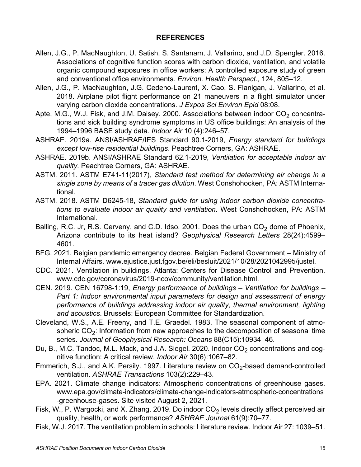#### **REFERENCES**

- Allen, J.G., P. MacNaughton, U. Satish, S. Santanam, J. Vallarino, and J.D. Spengler. 2016. Associations of cognitive function scores with carbon dioxide, ventilation, and volatile organic compound exposures in office workers: A controlled exposure study of green and conventional office environments. *Environ. Health Perspect.*, 124, 805–12.
- Allen, J.G., P. MacNaughton, J.G. Cedeno-Laurent, X. Cao, S. Flanigan, J. Vallarino, et al. 2018. Airplane pilot flight performance on 21 maneuvers in a flight simulator under varying carbon dioxide concentrations. *J Expos Sci Environ Epid* 08:08.
- Apte, M.G., W.J. Fisk, and J.M. Daisey. 2000. Associations between indoor  $CO<sub>2</sub>$  concentrations and sick building syndrome symptoms in US office buildings: An analysis of the 1994–1996 BASE study data. *Indoor Air* 10 (4):246–57.
- ASHRAE. 2019a. ANSI/ASHRAE/IES Standard 90.1-2019, *Energy standard for buildings except low-rise residential buildings*. Peachtree Corners, GA: ASHRAE.
- ASHRAE. 2019b. ANSI/ASHRAE Standard 62.1-2019, *Ventilation for acceptable indoor air quality*. Peachtree Corners, GA: ASHRAE.
- ASTM. 2011. ASTM E741-11(2017), *Standard test method for determining air change in a single zone by means of a tracer gas dilution*. West Conshohocken, PA: ASTM International.
- ASTM. 2018. ASTM D6245-18, *Standard guide for using indoor carbon dioxide concentrations to evaluate indoor air quality and ventilation*. West Conshohocken, PA: ASTM International.
- Balling, R.C. Jr, R.S. Cerveny, and C.D. Idso. 2001. Does the urban  $CO<sub>2</sub>$  dome of Phoenix, Arizona contribute to its heat island? *Geophysical Research Letters* 28(24):4599– 4601.
- BFG. 2021. Belgian pandemic emergency decree. Belgian Federal Government Ministry of Internal Affairs. www.ejustice.just.fgov.be/eli/besluit/2021/10/28/2021042995/justel.
- CDC. 2021. Ventilation in buildings. Atlanta: Centers for Disease Control and Prevention. www.cdc.gov/coronavirus/2019-ncov/community/ventilation.html.
- CEN. 2019. CEN 16798-1:19, *Energy performance of buildings Ventilation for buildings – Part 1: Indoor environmental input parameters for design and assessment of energy performance of buildings addressing indoor air quality, thermal environment, lighting and acoustics*. Brussels: European Committee for Standardization.
- Cleveland, W.S., A.E. Freeny, and T.E. Graedel. 1983. The seasonal component of atmospheric  $CO<sub>2</sub>$ : Information from new approaches to the decomposition of seasonal time series. *Journal of Geophysical Research: Oceans* 88(C15):10934–46.
- Du, B., M.C. Tandoc, M.L. Mack, and J.A. Siegel. 2020. Indoor  $CO<sub>2</sub>$  concentrations and cognitive function: A critical review. *Indoor Air* 30(6):1067–82.
- Emmerich, S.J., and A.K. Persily. 1997. Literature review on  $CO<sub>2</sub>$ -based demand-controlled ventilation. *ASHRAE Transactions* 103(2):229–43.
- EPA. 2021. Climate change indicators: Atmospheric concentrations of greenhouse gases. www.epa.gov/climate-indicators/climate-change-indicators-atmospheric-concentrations -greenhouse-gases. Site visited August 2, 2021.
- Fisk, W., P. Wargocki, and X. Zhang. 2019. Do indoor  $CO<sub>2</sub>$  levels directly affect perceived air quality, health, or work performance? *ASHRAE Journal* 61(9):70–77.
- Fisk, W.J. 2017. The ventilation problem in schools: Literature review. Indoor Air 27: 1039–51.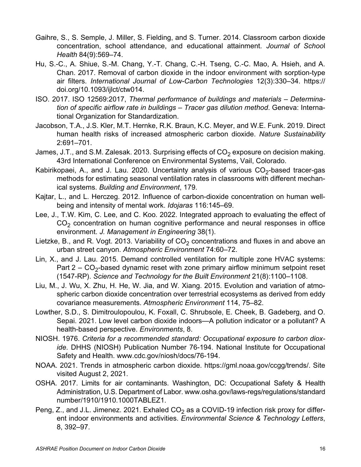- Gaihre, S., S. Semple, J. Miller, S. Fielding, and S. Turner. 2014. Classroom carbon dioxide concentration, school attendance, and educational attainment. *Journal of Schoo*l *Health* 84(9):569–74.
- Hu, S.-C., A. Shiue, S.-M. Chang, Y.-T. Chang, C.-H. Tseng, C.-C. Mao, A. Hsieh, and A. Chan. 2017. Removal of carbon dioxide in the indoor environment with sorption-type air filters. *International Journal of Low-Carbon Technologies* 12(3):330–34. https:// doi.org/10.1093/ijlct/ctw014.
- ISO. 2017. ISO 12569:2017, *Thermal performance of buildings and materials Determination of specific airflow rate in buildings – Tracer gas dilution method*. Geneva: International Organization for Standardization.
- Jacobson, T.A., J.S. Kler, M.T. Hernke, R.K. Braun, K.C. Meyer, and W.E. Funk. 2019. Direct human health risks of increased atmospheric carbon dioxide. *Nature Sustainability* 2:691–701.
- James, J.T., and S.M. Zalesak. 2013. Surprising effects of  $CO<sub>2</sub>$  exposure on decision making. 43rd International Conference on Environmental Systems, Vail, Colorado.
- Kabirikopaei, A., and J. Lau. 2020. Uncertainty analysis of various  $CO<sub>2</sub>$ -based tracer-gas methods for estimating seasonal ventilation rates in classrooms with different mechanical systems. *Building and Environment*, 179.
- Kajtar, L., and L. Herczeg. 2012. Influence of carbon-dioxide concentration on human wellbeing and intensity of mental work. *Idojaras* 116:145–69.
- Lee, J., T.W. Kim, C. Lee, and C. Koo. 2022. Integrated approach to evaluating the effect of  $CO<sub>2</sub>$  concentration on human cognitive performance and neural responses in office environment. *J. Management in Engineering* 38(1).
- Lietzke, B., and R. Vogt. 2013. Variability of  $CO<sub>2</sub>$  concentrations and fluxes in and above an urban street canyon. *Atmospheric Environment* 74:60–72.
- Lin, X., and J. Lau. 2015. Demand controlled ventilation for multiple zone HVAC systems: Part  $2 - CO<sub>2</sub>$ -based dynamic reset with zone primary airflow minimum setpoint reset (1547-RP). *Science and Technology for the Built Environment* 21(8):1100–1108.
- Liu, M., J. Wu, X. Zhu, H. He, W. Jia, and W. Xiang. 2015. Evolution and variation of atmospheric carbon dioxide concentration over terrestrial ecosystems as derived from eddy covariance measurements. *Atmospheric Environment* 114, 75–82.
- Lowther, S.D., S. Dimitroulopoulou, K. Foxall, C. Shrubsole, E. Cheek, B. Gadeberg, and O. Sepai. 2021. Low level carbon dioxide indoors—A pollution indicator or a pollutant? A health-based perspective. *Environments*, 8.
- NIOSH. 1976. *Criteria for a recommended standard: Occupational exposure to carbon dioxide*. DHHS (NIOSH) Publication Number 76-194. National Institute for Occupational Safety and Health. www.cdc.gov/niosh/docs/76-194.
- NOAA. 2021. Trends in atmospheric carbon dioxide. https://gml.noaa.gov/ccgg/trends/. Site visited August 2, 2021.
- OSHA. 2017. Limits for air contaminants. Washington, DC: Occupational Safety & Health Administration, U.S. Department of Labor. www.osha.gov/laws-regs/regulations/standard number/1910/1910.1000TABLEZ1.
- Peng, Z., and J.L. Jimenez. 2021. Exhaled  $CO<sub>2</sub>$  as a COVID-19 infection risk proxy for different indoor environments and activities. *Environmental Science & Technology Letters*, 8, 392–97.